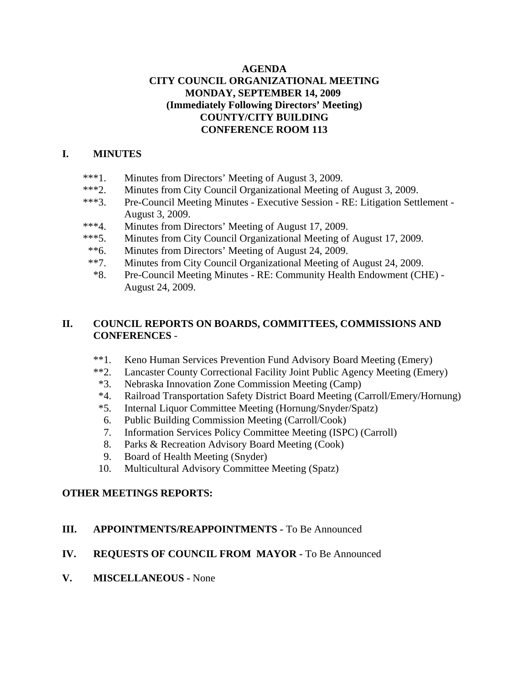### **AGENDA CITY COUNCIL ORGANIZATIONAL MEETING MONDAY, SEPTEMBER 14, 2009 (Immediately Following Directors' Meeting) COUNTY/CITY BUILDING CONFERENCE ROOM 113**

#### **I. MINUTES**

- \*\*\*1. Minutes from Directors' Meeting of August 3, 2009.
- \*\*\*2. Minutes from City Council Organizational Meeting of August 3, 2009.
- \*\*\*3. Pre-Council Meeting Minutes Executive Session RE: Litigation Settlement August 3, 2009.
- \*\*\*4. Minutes from Directors' Meeting of August 17, 2009.
- \*\*\*5. Minutes from City Council Organizational Meeting of August 17, 2009.
- \*\*6. Minutes from Directors' Meeting of August 24, 2009.
- \*\*7. Minutes from City Council Organizational Meeting of August 24, 2009.
- \*8. Pre-Council Meeting Minutes RE: Community Health Endowment (CHE) August 24, 2009.

## **II. COUNCIL REPORTS ON BOARDS, COMMITTEES, COMMISSIONS AND CONFERENCES** -

- \*\*1. Keno Human Services Prevention Fund Advisory Board Meeting (Emery)
- \*\*2. Lancaster County Correctional Facility Joint Public Agency Meeting (Emery)
- \*3. Nebraska Innovation Zone Commission Meeting (Camp)
- \*4. Railroad Transportation Safety District Board Meeting (Carroll/Emery/Hornung)
- \*5. Internal Liquor Committee Meeting (Hornung/Snyder/Spatz)
- 6. Public Building Commission Meeting (Carroll/Cook)
- 7. Information Services Policy Committee Meeting (ISPC) (Carroll)
- 8. Parks & Recreation Advisory Board Meeting (Cook)
- 9. Board of Health Meeting (Snyder)
- 10. Multicultural Advisory Committee Meeting (Spatz)

### **OTHER MEETINGS REPORTS:**

### **III. APPOINTMENTS/REAPPOINTMENTS -** To Be Announced

### **IV. REQUESTS OF COUNCIL FROM MAYOR -** To Be Announced

**V. MISCELLANEOUS -** None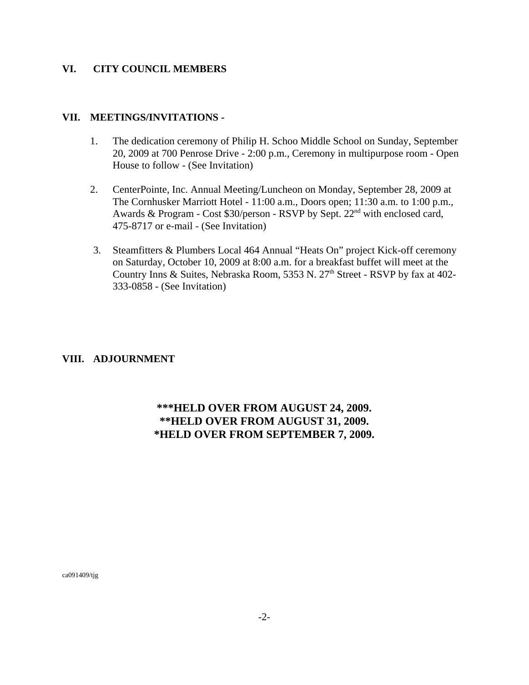#### **VI. CITY COUNCIL MEMBERS**

#### **VII. MEETINGS/INVITATIONS -**

- 1. The dedication ceremony of Philip H. Schoo Middle School on Sunday, September 20, 2009 at 700 Penrose Drive - 2:00 p.m., Ceremony in multipurpose room - Open House to follow - (See Invitation)
- 2. CenterPointe, Inc. Annual Meeting/Luncheon on Monday, September 28, 2009 at The Cornhusker Marriott Hotel - 11:00 a.m., Doors open; 11:30 a.m. to 1:00 p.m., Awards & Program - Cost \$30/person - RSVP by Sept. 22<sup>nd</sup> with enclosed card, 475-8717 or e-mail - (See Invitation)
- 3. Steamfitters & Plumbers Local 464 Annual "Heats On" project Kick-off ceremony on Saturday, October 10, 2009 at 8:00 a.m. for a breakfast buffet will meet at the Country Inns & Suites, Nebraska Room, 5353 N. 27<sup>th</sup> Street - RSVP by fax at 402-333-0858 - (See Invitation)

#### **VIII. ADJOURNMENT**

# **\*\*\*HELD OVER FROM AUGUST 24, 2009. \*\*HELD OVER FROM AUGUST 31, 2009. \*HELD OVER FROM SEPTEMBER 7, 2009.**

ca091409/tjg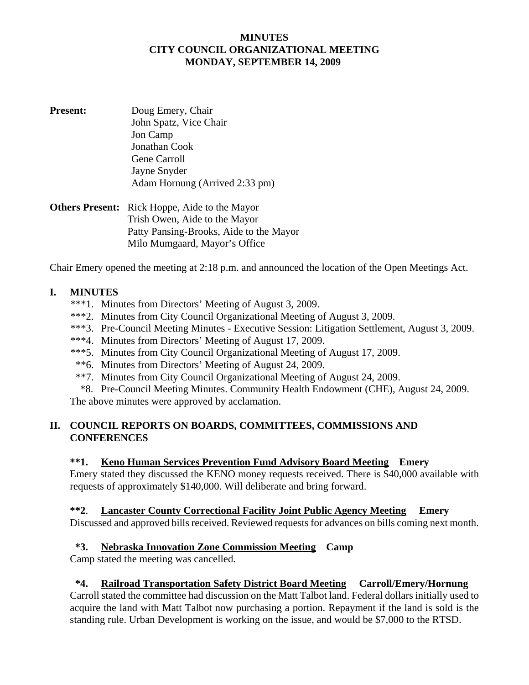#### **MINUTES CITY COUNCIL ORGANIZATIONAL MEETING MONDAY, SEPTEMBER 14, 2009**

- **Present:** Doug Emery, Chair John Spatz, Vice Chair Jon Camp Jonathan Cook Gene Carroll Jayne Snyder Adam Hornung (Arrived 2:33 pm)
- **Others Present:** Rick Hoppe, Aide to the Mayor Trish Owen, Aide to the Mayor Patty Pansing-Brooks, Aide to the Mayor Milo Mumgaard, Mayor's Office

Chair Emery opened the meeting at 2:18 p.m. and announced the location of the Open Meetings Act.

# **I. MINUTES**

- \*\*\*1. Minutes from Directors' Meeting of August 3, 2009.
- \*\*\*2. Minutes from City Council Organizational Meeting of August 3, 2009.
- \*\*\*3. Pre-Council Meeting Minutes Executive Session: Litigation Settlement, August 3, 2009.
- \*\*\*4. Minutes from Directors' Meeting of August 17, 2009.
- \*\*\*5. Minutes from City Council Organizational Meeting of August 17, 2009.
- \*\*6. Minutes from Directors' Meeting of August 24, 2009.
- \*\*7. Minutes from City Council Organizational Meeting of August 24, 2009.
- \*8. Pre-Council Meeting Minutes. Community Health Endowment (CHE), August 24, 2009.

The above minutes were approved by acclamation.

# **II. COUNCIL REPORTS ON BOARDS, COMMITTEES, COMMISSIONS AND CONFERENCES**

### **\*\*1. Keno Human Services Prevention Fund Advisory Board Meeting Emery**

Emery stated they discussed the KENO money requests received. There is \$40,000 available with requests of approximately \$140,000. Will deliberate and bring forward.

#### **\*\*2**. **Lancaster County Correctional Facility Joint Public Agency Meeting Emery**

Discussed and approved bills received. Reviewed requests for advances on bills coming next month.

### **\*3. Nebraska Innovation Zone Commission Meeting Camp**

Camp stated the meeting was cancelled.

### **\*4. Railroad Transportation Safety District Board Meeting Carroll/Emery/Hornung**

Carroll stated the committee had discussion on the Matt Talbot land. Federal dollars initially used to acquire the land with Matt Talbot now purchasing a portion. Repayment if the land is sold is the standing rule. Urban Development is working on the issue, and would be \$7,000 to the RTSD.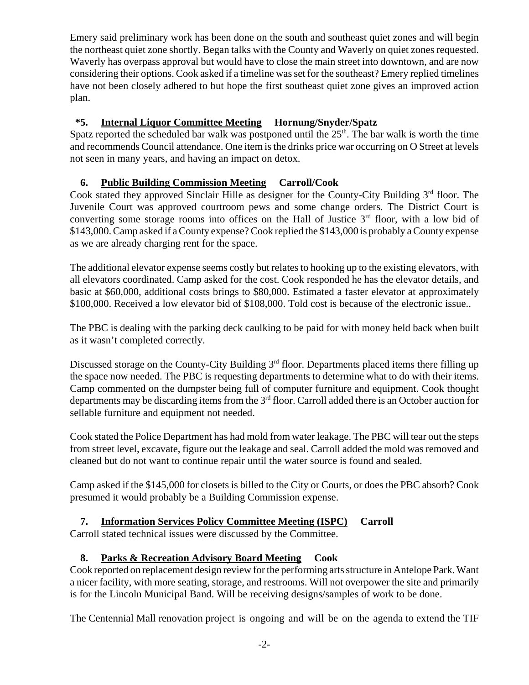Emery said preliminary work has been done on the south and southeast quiet zones and will begin the northeast quiet zone shortly. Began talks with the County and Waverly on quiet zones requested. Waverly has overpass approval but would have to close the main street into downtown, and are now considering their options. Cook asked if a timeline was set for the southeast? Emery replied timelines have not been closely adhered to but hope the first southeast quiet zone gives an improved action plan.

# **\*5. Internal Liquor Committee Meeting Hornung/Snyder/Spatz**

Spatz reported the scheduled bar walk was postponed until the  $25<sup>th</sup>$ . The bar walk is worth the time and recommends Council attendance. One item is the drinks price war occurring on O Street at levels not seen in many years, and having an impact on detox.

# **6. Public Building Commission Meeting Carroll/Cook**

Cook stated they approved Sinclair Hille as designer for the County-City Building 3<sup>rd</sup> floor. The Juvenile Court was approved courtroom pews and some change orders. The District Court is converting some storage rooms into offices on the Hall of Justice  $3<sup>rd</sup>$  floor, with a low bid of \$143,000. Camp asked if a County expense? Cook replied the \$143,000 is probably a County expense as we are already charging rent for the space.

The additional elevator expense seems costly but relates to hooking up to the existing elevators, with all elevators coordinated. Camp asked for the cost. Cook responded he has the elevator details, and basic at \$60,000, additional costs brings to \$80,000. Estimated a faster elevator at approximately \$100,000. Received a low elevator bid of \$108,000. Told cost is because of the electronic issue..

The PBC is dealing with the parking deck caulking to be paid for with money held back when built as it wasn't completed correctly.

Discussed storage on the County-City Building  $3<sup>rd</sup>$  floor. Departments placed items there filling up the space now needed. The PBC is requesting departments to determine what to do with their items. Camp commented on the dumpster being full of computer furniture and equipment. Cook thought departments may be discarding items from the  $3<sup>rd</sup>$  floor. Carroll added there is an October auction for sellable furniture and equipment not needed.

Cook stated the Police Department has had mold from water leakage. The PBC will tear out the steps from street level, excavate, figure out the leakage and seal. Carroll added the mold was removed and cleaned but do not want to continue repair until the water source is found and sealed.

Camp asked if the \$145,000 for closets is billed to the City or Courts, or does the PBC absorb? Cook presumed it would probably be a Building Commission expense.

# **7. Information Services Policy Committee Meeting (ISPC) Carroll**

Carroll stated technical issues were discussed by the Committee.

# **8. Parks & Recreation Advisory Board Meeting Cook**

Cook reported on replacement design review for the performing arts structure in Antelope Park. Want a nicer facility, with more seating, storage, and restrooms. Will not overpower the site and primarily is for the Lincoln Municipal Band. Will be receiving designs/samples of work to be done.

The Centennial Mall renovation project is ongoing and will be on the agenda to extend the TIF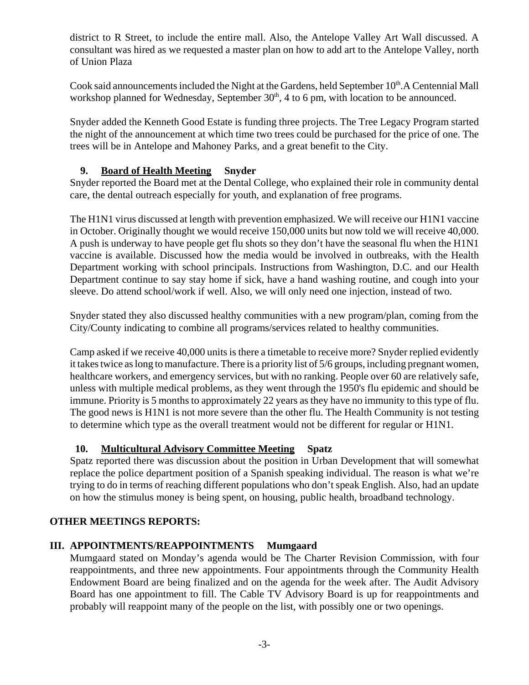district to R Street, to include the entire mall. Also, the Antelope Valley Art Wall discussed. A consultant was hired as we requested a master plan on how to add art to the Antelope Valley, north of Union Plaza

Cook said announcements included the Night at the Gardens, held September 10<sup>th</sup>.A Centennial Mall workshop planned for Wednesday, September  $30<sup>th</sup>$ , 4 to 6 pm, with location to be announced.

Snyder added the Kenneth Good Estate is funding three projects. The Tree Legacy Program started the night of the announcement at which time two trees could be purchased for the price of one. The trees will be in Antelope and Mahoney Parks, and a great benefit to the City.

# **9. Board of Health Meeting Snyder**

Snyder reported the Board met at the Dental College, who explained their role in community dental care, the dental outreach especially for youth, and explanation of free programs.

The H1N1 virus discussed at length with prevention emphasized. We will receive our H1N1 vaccine in October. Originally thought we would receive 150,000 units but now told we will receive 40,000. A push is underway to have people get flu shots so they don't have the seasonal flu when the H1N1 vaccine is available. Discussed how the media would be involved in outbreaks, with the Health Department working with school principals. Instructions from Washington, D.C. and our Health Department continue to say stay home if sick, have a hand washing routine, and cough into your sleeve. Do attend school/work if well. Also, we will only need one injection, instead of two.

Snyder stated they also discussed healthy communities with a new program/plan, coming from the City/County indicating to combine all programs/services related to healthy communities.

Camp asked if we receive 40,000 units is there a timetable to receive more? Snyder replied evidently it takes twice as long to manufacture. There is a priority list of 5/6 groups, including pregnant women, healthcare workers, and emergency services, but with no ranking. People over 60 are relatively safe, unless with multiple medical problems, as they went through the 1950's flu epidemic and should be immune. Priority is 5 months to approximately 22 years as they have no immunity to this type of flu. The good news is H1N1 is not more severe than the other flu. The Health Community is not testing to determine which type as the overall treatment would not be different for regular or H1N1.

# **10. Multicultural Advisory Committee Meeting Spatz**

Spatz reported there was discussion about the position in Urban Development that will somewhat replace the police department position of a Spanish speaking individual. The reason is what we're trying to do in terms of reaching different populations who don't speak English. Also, had an update on how the stimulus money is being spent, on housing, public health, broadband technology.

### **OTHER MEETINGS REPORTS:**

# **III. APPOINTMENTS/REAPPOINTMENTS Mumgaard**

Mumgaard stated on Monday's agenda would be The Charter Revision Commission, with four reappointments, and three new appointments. Four appointments through the Community Health Endowment Board are being finalized and on the agenda for the week after. The Audit Advisory Board has one appointment to fill. The Cable TV Advisory Board is up for reappointments and probably will reappoint many of the people on the list, with possibly one or two openings.